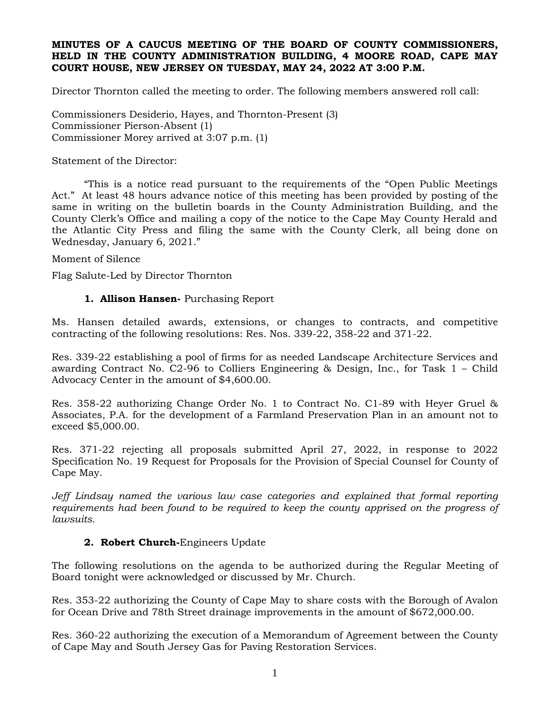### **MINUTES OF A CAUCUS MEETING OF THE BOARD OF COUNTY COMMISSIONERS, HELD IN THE COUNTY ADMINISTRATION BUILDING, 4 MOORE ROAD, CAPE MAY COURT HOUSE, NEW JERSEY ON TUESDAY, MAY 24, 2022 AT 3:00 P.M.**

Director Thornton called the meeting to order. The following members answered roll call:

Commissioners Desiderio, Hayes, and Thornton-Present (3) Commissioner Pierson-Absent (1) Commissioner Morey arrived at 3:07 p.m. (1)

Statement of the Director:

"This is a notice read pursuant to the requirements of the "Open Public Meetings Act." At least 48 hours advance notice of this meeting has been provided by posting of the same in writing on the bulletin boards in the County Administration Building, and the County Clerk's Office and mailing a copy of the notice to the Cape May County Herald and the Atlantic City Press and filing the same with the County Clerk, all being done on Wednesday, January 6, 2021."

Moment of Silence

Flag Salute-Led by Director Thornton

# **1. Allison Hansen-** Purchasing Report

Ms. Hansen detailed awards, extensions, or changes to contracts, and competitive contracting of the following resolutions: Res. Nos. 339-22, 358-22 and 371-22.

Res. 339-22 establishing a pool of firms for as needed Landscape Architecture Services and awarding Contract No. C2-96 to Colliers Engineering & Design, Inc., for Task 1 – Child Advocacy Center in the amount of \$4,600.00.

Res. 358-22 authorizing Change Order No. 1 to Contract No. C1-89 with Heyer Gruel & Associates, P.A. for the development of a Farmland Preservation Plan in an amount not to exceed \$5,000.00.

Res. 371-22 rejecting all proposals submitted April 27, 2022, in response to 2022 Specification No. 19 Request for Proposals for the Provision of Special Counsel for County of Cape May.

*Jeff Lindsay named the various law case categories and explained that formal reporting requirements had been found to be required to keep the county apprised on the progress of lawsuits.* 

# **2. Robert Church-**Engineers Update

The following resolutions on the agenda to be authorized during the Regular Meeting of Board tonight were acknowledged or discussed by Mr. Church.

Res. 353-22 authorizing the County of Cape May to share costs with the Borough of Avalon for Ocean Drive and 78th Street drainage improvements in the amount of \$672,000.00.

Res. 360-22 authorizing the execution of a Memorandum of Agreement between the County of Cape May and South Jersey Gas for Paving Restoration Services.